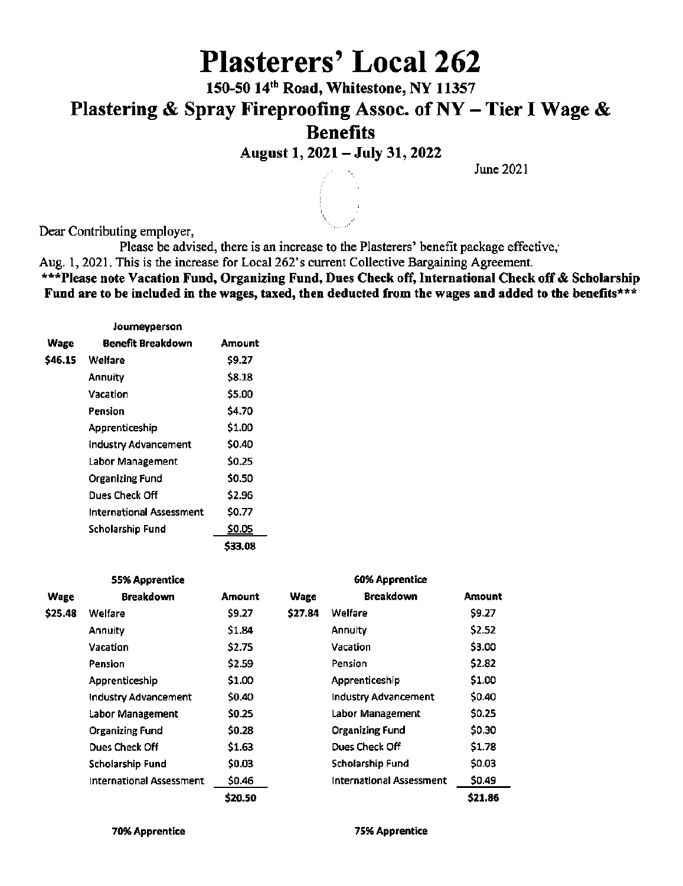# Plasterers' Local 262

150-5014'" Road, Whitestone, NY 11357 Plastering & Spray Fireproofing Assoc. of  $NY -$  Tier I Wage &

Benefits

August 1,2021 - July 31,2022

June 2021

Dear Contributing employer,

Please be advised, there is an increase to the Plasterers' benefit package effective,

Aug. 1, 2021. This is the increase for Local 262's current Collective Bargaining Agreement.

\*\*\*Please note Vacation Fund, Organizing Fund, Dues Check off, International Check off & Scholarship Fund are to be included in the wages, taxed, then deducted from the wages and added to the benefits\*\*\*

|         | Journeyperson            |         |
|---------|--------------------------|---------|
| Wage    | Benefit Breakdown        | Amount  |
| \$46.15 | Welfare                  | \$9.27  |
|         | Annuity                  | \$8.18  |
|         | Vacation                 | \$5.00  |
|         | Pension                  | \$4.70  |
|         | Apprenticeship           | \$1.00  |
|         | Industry Advancement     | \$0.40  |
|         | <b>Labor Management</b>  | \$0.25  |
|         | Organizing Fund          | \$0.50  |
|         | Dues Check Off           | \$2.96  |
|         | International Assessment | \$0.77  |
|         | Scholarship Fund         | \$0.05  |
|         |                          | \$33.08 |

|         | <b>55% Apprentice</b>    |         |         | 60% Apprentice                  |         |
|---------|--------------------------|---------|---------|---------------------------------|---------|
| Wage    | <b>Breakdown</b>         | Amount  | Wage    | <b>Breakdown</b>                | Amount  |
| \$25.48 | Welfare                  | \$9.27  | \$27.84 | Welfare                         | \$9.27  |
|         | <b>Annuity</b>           | \$1.84  |         | Annuity                         | \$2.52  |
|         | <b>Vacation</b>          | \$2.75  |         | Vacation                        | \$3.00  |
|         | <b>Pension</b>           | \$2.59  |         | Pension                         | \$2.82  |
|         | Apprenticeship           | \$1.00  |         | Apprenticeship                  | \$1.00  |
|         | Industry Advancement     | \$0.40  |         | Industry Advancement            | \$0.40  |
|         | Labor Management         | \$0.25  |         | Labor Management                | \$0.25  |
|         | <b>Organizing Fund</b>   | \$0.28  |         | <b>Organizing Fund</b>          | \$0.30  |
|         | Dues Check Off           | \$1.63  |         | Dues Check Off                  | \$1.78  |
|         | Scholarship Fund         | \$0.03  |         | <b>Scholarship Fund</b>         | \$0.03  |
|         | International Assessment | \$0.46  |         | <b>International Assessment</b> | \$0.49  |
|         |                          | \$20.50 |         |                                 | \$21.86 |

70% Apprentice 75% Apprentice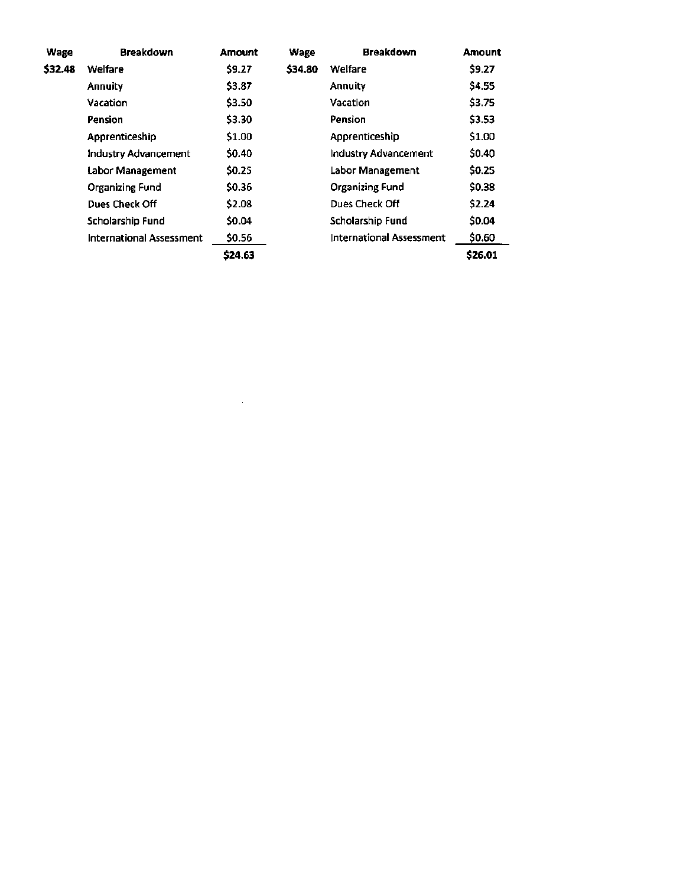| Wage    | <b>Breakdown</b>                | <b>Amount</b> | Wage    | <b>Breakdown</b>                | <b>Amount</b> |
|---------|---------------------------------|---------------|---------|---------------------------------|---------------|
| \$32.48 | Welfare                         | \$9.27        | \$34.80 | Welfare                         | \$9.27        |
|         | <b>Annuity</b>                  | \$3.87        |         | Annuity                         | \$4.55        |
|         | Vacation                        | \$3.50        |         | Vacation                        | \$3.75        |
|         | Pension                         | \$3.30        |         | Pension                         | \$3.53        |
|         | Apprenticeship                  | \$1.00        |         | Apprenticeship                  | \$1.00        |
|         | Industry Advancement            | \$0.40        |         | Industry Advancement            | <b>SO.40</b>  |
|         | Labor Management                | \$0.25        |         | Labor Management                | \$0.25        |
|         | <b>Organizing Fund</b>          | \$0.36        |         | <b>Organizing Fund</b>          | \$0.38        |
|         | Dues Check Off                  | \$2.08        |         | Dues Check Off                  | \$2.24        |
|         | Scholarship Fund                | \$0.04        |         | Scholarship Fund                | <b>SO.04</b>  |
|         | <b>International Assessment</b> | \$0.56        |         | <b>International Assessment</b> | \$0.60        |
|         |                                 | \$24.63       |         |                                 | \$26.01       |

 $\label{eq:2.1} \frac{1}{\sqrt{2}}\left(\frac{1}{\sqrt{2}}\right)^{2} \left(\frac{1}{\sqrt{2}}\right)^{2} \left(\frac{1}{\sqrt{2}}\right)^{2} \left(\frac{1}{\sqrt{2}}\right)^{2} \left(\frac{1}{\sqrt{2}}\right)^{2} \left(\frac{1}{\sqrt{2}}\right)^{2} \left(\frac{1}{\sqrt{2}}\right)^{2} \left(\frac{1}{\sqrt{2}}\right)^{2} \left(\frac{1}{\sqrt{2}}\right)^{2} \left(\frac{1}{\sqrt{2}}\right)^{2} \left(\frac{1}{\sqrt{2}}\right)^{2} \left(\$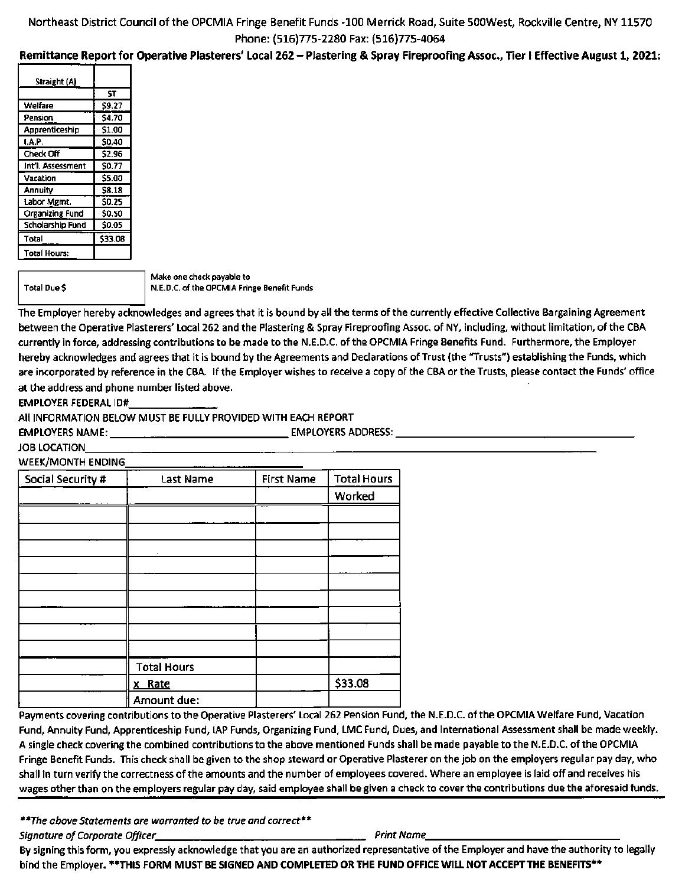### Northeast District Council of the OPCMIA Fringe Benefit Funds -100 Merrick Road, Suite SOOWest, Rockville Centre, NY 11570 Phone: (516)775-2280 Fax: (516)775-4064

#### Remittance Report for Operative Plasterers' Local 262 - Plastering & Spray Fireproofing Assoc., Tier I Effective August 1, 2021:

| Straight (A)        |         |
|---------------------|---------|
|                     | SΤ      |
| Welfare             | \$9.27  |
| Pension             | \$4.70  |
| Apprenticeship      | \$1.00  |
| 1.A.P.              | \$0.40  |
| Check Off           | \$2.96  |
| Int'l. Assessment   | \$0.77  |
| Vacation            | \$5.00  |
| Annuity             | S8.18   |
| Labor Mgmt.         | \$0.25  |
| Organizing Fund     | \$0.50  |
| Scholarship Fund    | \$0.05  |
| Total               | \$33.08 |
| <b>Total Hours:</b> |         |
|                     |         |

Total Due \$

Make one check payable to N.E.D.C. of the OPCMIA Fringe Benefit Funds

The Employer hereby acknowledges and agrees that it is bound by all the terms of the currently effective Collective Bargaining Agreement between the Operative Plasterers' Local 262 and the Plastering & Spray Fireproofing Assoc. of NY, including, without limitation, of the CBA currently in force, addressing contributions to be made to the N.E.D.C. of the OPCMIA Fringe Benefits Fund. Furthermore, the Employer hereby acknowledges and agrees that it is bound by the Agreements and Declarations of Trust (the "Trusts") establishing the Funds, which are incorporated by reference in the CBA. If the Employer wishes to receive a copy of the CBA or the Trusts, please contact the Funds' office at the address and phone number listed above.

EMPLOYER FEDERAL ID#

All INFORMATION BELOW MUST BE FULLY PROVIDED WITH EACH REPORT

EMPLOYERS NAME: EMPLOYERS ADDRESS:

JOB LOCATION

WEEK/MONTH ENDING

| Social Security # | <b>Last Name</b>   | <b>First Name</b> | <b>Total Hours</b> |
|-------------------|--------------------|-------------------|--------------------|
|                   |                    |                   | Worked             |
|                   |                    |                   |                    |
|                   |                    |                   |                    |
|                   |                    |                   |                    |
|                   |                    |                   |                    |
|                   |                    |                   |                    |
|                   |                    |                   |                    |
|                   |                    |                   |                    |
|                   |                    |                   |                    |
|                   |                    |                   |                    |
|                   | <b>Total Hours</b> |                   |                    |
|                   | x Rate             |                   | \$33.08            |
|                   | Amount due:        |                   |                    |

Payments covering contributions to the Operative Plasterers' Local 262 Pension Fund, the N.E.D.C. of the OPCMIA Welfare Fund, Vacation Fund, Annuity Fund, Apprenticeship Fund, lAP Funds, Organizing Fund, LMC Fund, Dues, and International Assessment shall be made weekly. A single check covering the combined contributions to the above mentioned Funds shall be made payable to the N.E.D.C. of the OPCMIA Fringe Benefit Funds. This check shall be given to the shop steward or Operative Plasterer on the job on the employers regular pay day, who shall in turn verify the correctness of the amounts and the number of employees covered. Where an employee is laid off and receives his wages other than on the employers regular pay day, said employee shall be given a check to cover the contributions due the aforesaid funds.

\*\*The above Statements are warranted to be true and correct\*\*

Signature of Corporate Officer Print Name Print Name Print Name

By signing this form, you expressly acknowledge that you are an authorized representative of the Employer and have the authority to legally bind the Employer. \*\*THIS FORM MUST BE SIGNED AND COMPLETED OR THE FUND OFFICE WILL NOT ACCEPT THE BENEFITS\*\*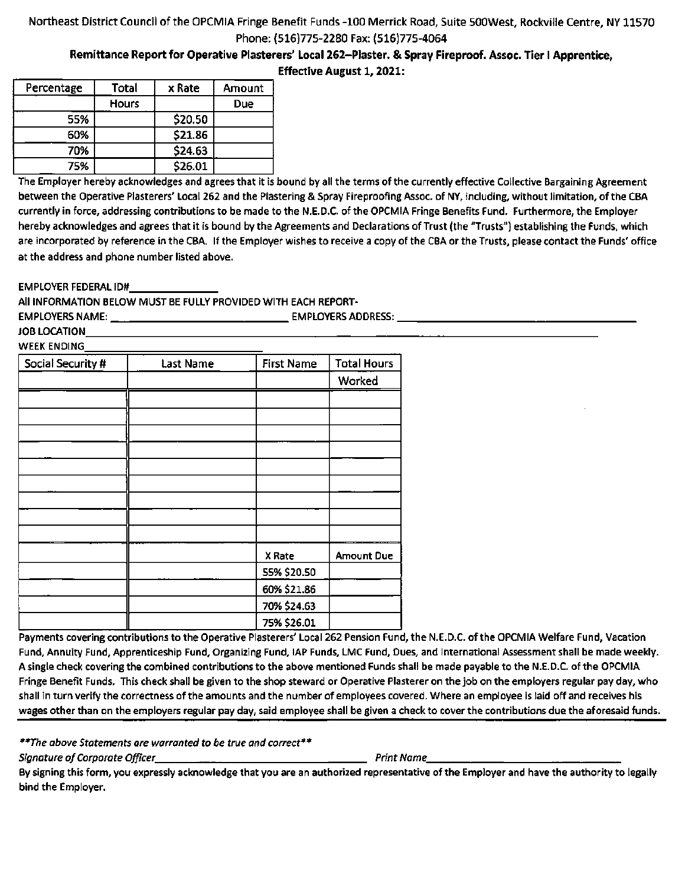### Northeast District Council of the OPCMIA Fringe Benefit Funds -100 Merrick Road, Suite SOOWest, Rockville Centre, NY 11570 Phone: (516)775-2280 Fax: (516)775-4064

Remittance Report for Operative Plasterers' Local 262-Plaster. & Spray Fireproof. Assoc. Tier I Apprentice,

| <b>Effective August 1, 2021:</b> |  |  |
|----------------------------------|--|--|
|----------------------------------|--|--|

| Percentage | Total        | x Rate  | Amount |
|------------|--------------|---------|--------|
|            | <b>Hours</b> |         | Due    |
| 55%        |              | \$20.50 |        |
| 60%        |              | \$21.86 |        |
| 70%        |              | \$24.63 |        |
| 75%        |              | \$26.01 |        |

The Employer hereby acknowledges and agrees that it is bound by all the terms of the currently effective Collective Bargaining Agreement between the Operative Plasterers' Local 262 and the Plastering & Spray Fireproofing Assoc. of NY, including, without limitation, of the CBA currently in force, addressing contributions to be made to the N.E.D.C. of the OPCMIA Fringe Benefits Fund. Furthermore, the Employer hereby acknowledges and agrees that it is bound by the Agreements and Declarations of Trust (the "Trusts") establishing the Funds, which are incorporated by reference in the CBA. If the Employer wishes to receive a copy of the CBA or the Trusts, please contact the Funds' office at the address and phone number listed above.

EMPLOYER FEDERAL ID#

All INFORMATION BELOW MUST BE FULLY PROVIDED WITH EACH REPORT-

| <b>EMPLOYERS NAME:</b> |           |            | <b>EMPLOYERS ADDRESS:</b> |  |
|------------------------|-----------|------------|---------------------------|--|
| JOB LOCATION           |           |            |                           |  |
| <b>WEEK ENDING</b>     |           |            |                           |  |
| Social Security #      | Last Name | First Name | Total Hours               |  |
|                        |           |            |                           |  |

| Social Security # | Last Name | First Name  | Total Hours       |
|-------------------|-----------|-------------|-------------------|
|                   |           |             | Worked            |
|                   |           |             |                   |
|                   |           |             |                   |
|                   |           |             |                   |
|                   |           |             |                   |
|                   |           |             |                   |
|                   |           |             |                   |
|                   |           |             |                   |
|                   |           |             |                   |
|                   |           |             |                   |
|                   |           | X Rate      | <b>Amount Due</b> |
|                   |           | 55% \$20.50 |                   |
|                   |           | 60% \$21.86 |                   |
|                   |           | 70% \$24.63 |                   |
|                   |           | 75% \$26.01 |                   |

Payments covering contributions to the Operative Plasterers' Local 262 Pension Fund, the N.E.D.C. of the OPCMIA Welfare Fund, Vacation Fund, Annuity Fund, Apprenticeship Fund, Organizing Fund, lAP Funds, LMC Fund, Dues, and International Assessment shall be made weekly. A single check covering the combined contributions to the above mentioned Funds shall be made payable to the N.E.D.C. of the OPCMIA Fringe Benefit Funds. This check shall be given to the shop steward or Operative Plasterer on the job on the employers regular pay day, who shall In turn verify the correctness of the amounts and the number of employees covered. Where an employee is laid off and receives his wages other than on the employers regular pay day, said employee shall be given a check to cover the contributions due the aforesaid funds.

\*\*The above Statements are warranted to be true and correct\*\*

Signature of Corporate Officer Print Name

By signing this form, you expressly acknowledge that you are an authorized representative of the Employer and have the authority to legally bind the Employer.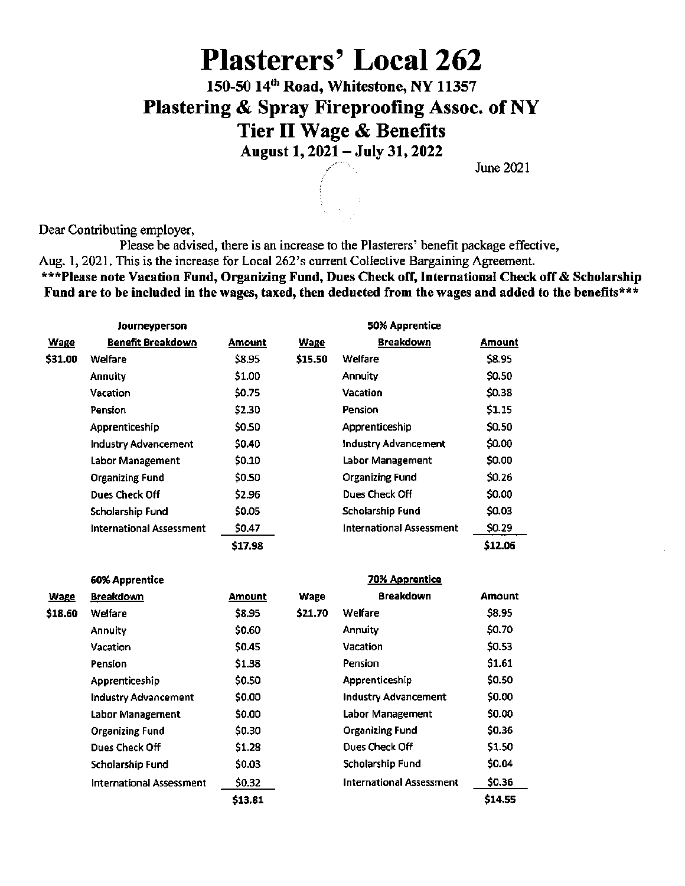## Plasterers' Local 262

150-50 14"' Road, Whitestone, NY 11357 Plastering & Spray Fireproofing Assoc. of NY Tier 11 Wage & Benefits

August 1,2021 - July 31,2022

June 2021

Dear Contributing employer.

Please be advised, there is an increase to the Plasterers' benefit package effective, Aug. 1, 2021. This is the increase for Local 262's current Collective Bargaining Agreement. \*\*\*Please note Vacation Fund, Organizing Fund, Dues Check off, International Check off & Scholarship Fund are to be included in the wages, taxed, then deducted from the wages and added to the benefits\*\*\*

|             | Journeyperson                   |         |             | 50% Apprentice                  |         |
|-------------|---------------------------------|---------|-------------|---------------------------------|---------|
| <b>Wage</b> | Benefit Breakdown               | Amount  | <b>Wage</b> | <b>Breakdown</b>                | Amount  |
| \$31.00     | Welfare                         | \$8.95  | \$15.50     | Welfare                         | \$8.95  |
|             | <b>Annuity</b>                  | \$1.00  |             | Annuity                         | \$0.50  |
|             | Vacation                        | \$0.75  |             | Vacation                        | \$0.38  |
|             | Pension                         | \$2.30  |             | <b>Pension</b>                  | \$1.15  |
|             | Apprenticeship                  | \$0.50  |             | Apprenticeship                  | \$0.50  |
|             | <b>Industry Advancement</b>     | \$0.40  |             | <b>Industry Advancement</b>     | \$0.00  |
|             | Labor Management                | \$0.10  |             | Labor Management                | \$0.00  |
|             | <b>Organizing Fund</b>          | \$0.50  |             | <b>Organizing Fund</b>          | \$0.26  |
|             | Dues Check Off                  | \$2.96  |             | Dues Check Off                  | \$0.00  |
|             | Scholarship Fund                | \$0.05  |             | Scholarship Fund                | \$0.03  |
|             | <b>International Assessment</b> | \$0.47  |             | <b>International Assessment</b> | \$0.29  |
|             |                                 | \$17.98 |             |                                 | \$12.06 |

|             | 60% Apprentice              |               |         | <b>70% Apprentice</b>           |               |
|-------------|-----------------------------|---------------|---------|---------------------------------|---------------|
| <b>Wage</b> | <b>Breakdown</b>            | <b>Amount</b> | Wage    | <b>Breakdown</b>                | <b>Amount</b> |
| \$18.60     | Welfare                     | \$8.95        | \$21.70 | Welfare                         | \$8.95        |
|             | Annuity                     | \$0.60        |         | <b>Annuity</b>                  | \$0.70        |
|             | Vacation                    | \$0.45        |         | Vacation                        | \$0.53        |
|             | <b>Pension</b>              | \$1.38        |         | Pension                         | \$1.61        |
|             | Apprenticeship              | \$0.50        |         | Apprenticeship                  | \$0.50        |
|             | <b>Industry Advancement</b> | \$0.00        |         | <b>Industry Advancement</b>     | \$0.00        |
|             | Labor Management            | \$0.00        |         | <b>Labor Management</b>         | \$0.00        |
|             | <b>Organizing Fund</b>      | \$0.30        |         | <b>Organizing Fund</b>          | \$0.36        |
|             | Dues Check Off              | \$1.28        |         | Dues Check Off                  | \$1.50        |
|             | <b>Scholarship Fund</b>     | \$0.03        |         | Scholarship Fund                | \$0.04        |
|             | International Assessment    | \$0.32        |         | <b>International Assessment</b> | \$0.36        |
|             |                             | \$13.81       |         |                                 | \$14.55       |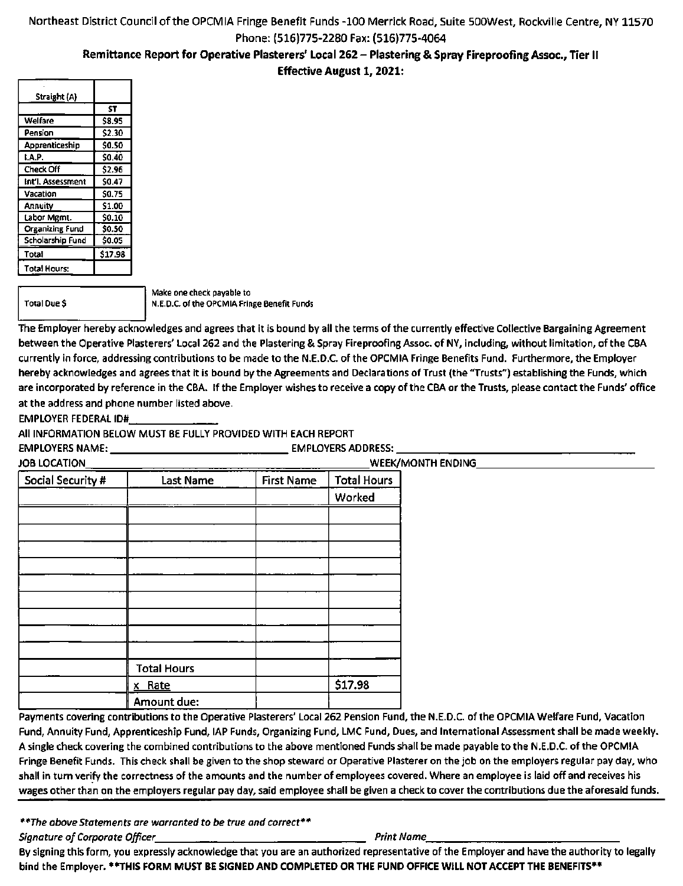### Remittance Report for Operative Plasterers' Local 262 - Plastering & Spray Fireproofing Assoc., Tier II

Effective August 1, 2021:

| \$8.95       |
|--------------|
| \$2.30       |
| \$0.50       |
| \$0.40       |
| \$2.96       |
| \$0.47       |
| \$0.75       |
| \$1.00       |
| <b>SO.10</b> |
| \$0.50       |
| \$0.05       |
| \$17.98      |
|              |
|              |

Total Due \$

Make one check payable to N.E.D.C. of the OPCMIA Fringe Benefit Funds

The Employer hereby acknowledges and agrees that it is bound by all the terms of the currently effective Collective Bargaining Agreement between the Operative Plasterers' Local 262 and the Plastering & Spray Fireproofing Assoc. of NY, including, without limitation, of the CBA currently in force, addressing contributions to be made to the N.E.D.C. of the OPCMIA Fringe Benefits Fund. Furthermore, the Employer hereby acknowledges and agrees that it is bound by the Agreements and Declarations of Trust (the "Trusts") establishing the Funds, which are incorporated by reference in the CBA. If the Employer wishes to receive a copy of the CBA or the Trusts, please contact the Funds' office at the address and phone number listed above.

EMPLOYER FEDERAL ID#

All INFORMATION BELOW MUST BE FULLY PROVIDED WITH EACH REPORT

EMPLOYERS NAME: EMPLOYERS ADDRESS:

| JOB LOCATION      |                    |                   |                    | WEEK/MONTH ENDING |
|-------------------|--------------------|-------------------|--------------------|-------------------|
| Social Security # | <b>Last Name</b>   | <b>First Name</b> | <b>Total Hours</b> |                   |
|                   |                    |                   | Worked             |                   |
|                   |                    |                   |                    |                   |
|                   |                    |                   |                    |                   |
|                   |                    |                   |                    |                   |
|                   |                    |                   |                    |                   |
|                   |                    |                   |                    |                   |
|                   |                    |                   |                    |                   |
|                   |                    |                   |                    |                   |
|                   |                    |                   |                    |                   |
|                   |                    |                   |                    |                   |
|                   | <b>Total Hours</b> |                   |                    |                   |
|                   | x Rate             |                   | \$17.98            |                   |
|                   | Amount due:        |                   |                    |                   |

Payments covering contributions to the Operative Plasterers' Local 262 Pension Fund, the N.E.D.C. of the OPCMIA Welfare Fund, Vacation Fund, Annuity Fund, Apprenticeship Fund, lAP Funds, Organizing Fund, LMC Fund, Dues, and International Assessment shall be made weekly. A single check covering the combined contributions to the above mentioned Funds shall be made payable to the N.E.D.C. of the OPCMIA Fringe Benefit Funds. This check shall be given to the shop steward or Operative Plasterer on the job on the employers regular pay day, who shall in turn verify the correctness of the amounts and the number of employees covered. Where an employee is laid off and receives his wages other than on the employers regular pay day, said employee shall be given a check to cover the contributions due the aforesaid funds.

\*\*The above Statements are warranted to be true and correct\*\*

Signature of Corporate Officer Prince Assessment Department of Corporate Officer Prince Print Name

By signing this form, you expressly acknowledge that you are an authorized representative of the Employer and have the authority to legally bind the Employer. \*\*THIS FORM MUST BE SIGNED AND COMPLETED OR THE FUND OFFICE WILL NOT ACCEPT THE BENEFITS\*\*